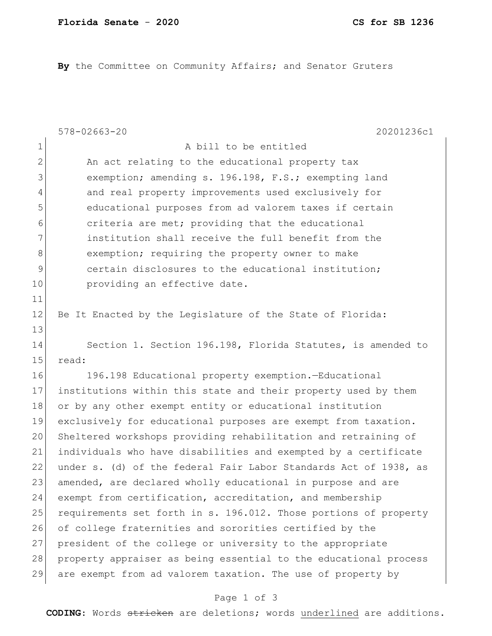**By** the Committee on Community Affairs; and Senator Gruters

|              | $578 - 02663 - 20$<br>20201236c1                                 |
|--------------|------------------------------------------------------------------|
| 1            | A bill to be entitled                                            |
| $\mathbf{2}$ | An act relating to the educational property tax                  |
| 3            | exemption; amending s. 196.198, F.S.; exempting land             |
| 4            | and real property improvements used exclusively for              |
| 5            | educational purposes from ad valorem taxes if certain            |
| 6            | criteria are met; providing that the educational                 |
| 7            | institution shall receive the full benefit from the              |
| 8            | exemption; requiring the property owner to make                  |
| $\mathsf 9$  | certain disclosures to the educational institution;              |
| 10           | providing an effective date.                                     |
| 11           |                                                                  |
| 12           | Be It Enacted by the Legislature of the State of Florida:        |
| 13           |                                                                  |
| 14           | Section 1. Section 196.198, Florida Statutes, is amended to      |
| 15           | read:                                                            |
| 16           | 196.198 Educational property exemption.-Educational              |
| 17           | institutions within this state and their property used by them   |
| 18           | or by any other exempt entity or educational institution         |
| 19           | exclusively for educational purposes are exempt from taxation.   |
| 20           | Sheltered workshops providing rehabilitation and retraining of   |
| 21           | individuals who have disabilities and exempted by a certificate  |
| 22           | under s. (d) of the federal Fair Labor Standards Act of 1938, as |
| 23           | amended, are declared wholly educational in purpose and are      |
| 24           | exempt from certification, accreditation, and membership         |
| 25           | requirements set forth in s. 196.012. Those portions of property |
| 26           | of college fraternities and sororities certified by the          |
| 27           | president of the college or university to the appropriate        |
| 28           | property appraiser as being essential to the educational process |
| 29           | are exempt from ad valorem taxation. The use of property by      |

## Page 1 of 3

**CODING**: Words stricken are deletions; words underlined are additions.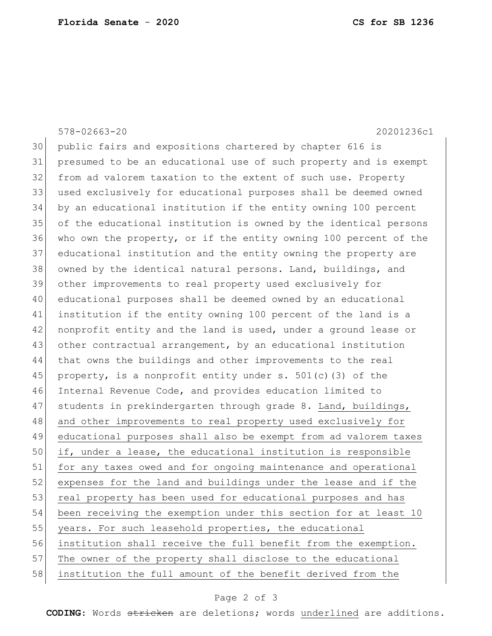## 578-02663-20 20201236c1 30 public fairs and expositions chartered by chapter 616 is 31 presumed to be an educational use of such property and is exempt 32 from ad valorem taxation to the extent of such use. Property 33 used exclusively for educational purposes shall be deemed owned 34 by an educational institution if the entity owning 100 percent 35 of the educational institution is owned by the identical persons 36 who own the property, or if the entity owning 100 percent of the 37 educational institution and the entity owning the property are 38 owned by the identical natural persons. Land, buildings, and 39 other improvements to real property used exclusively for 40 educational purposes shall be deemed owned by an educational 41 institution if the entity owning 100 percent of the land is a 42 nonprofit entity and the land is used, under a ground lease or 43 other contractual arrangement, by an educational institution 44 that owns the buildings and other improvements to the real 45 | property, is a nonprofit entity under s. 501(c)(3) of the 46 Internal Revenue Code, and provides education limited to 47 students in prekindergarten through grade 8. Land, buildings, 48 and other improvements to real property used exclusively for 49 educational purposes shall also be exempt from ad valorem taxes 50 if, under a lease, the educational institution is responsible 51 for any taxes owed and for ongoing maintenance and operational 52 expenses for the land and buildings under the lease and if the 53 real property has been used for educational purposes and has 54 been receiving the exemption under this section for at least 10 55 years. For such leasehold properties, the educational 56 institution shall receive the full benefit from the exemption. 57 The owner of the property shall disclose to the educational 58 institution the full amount of the benefit derived from the

## Page 2 of 3

**CODING**: Words stricken are deletions; words underlined are additions.